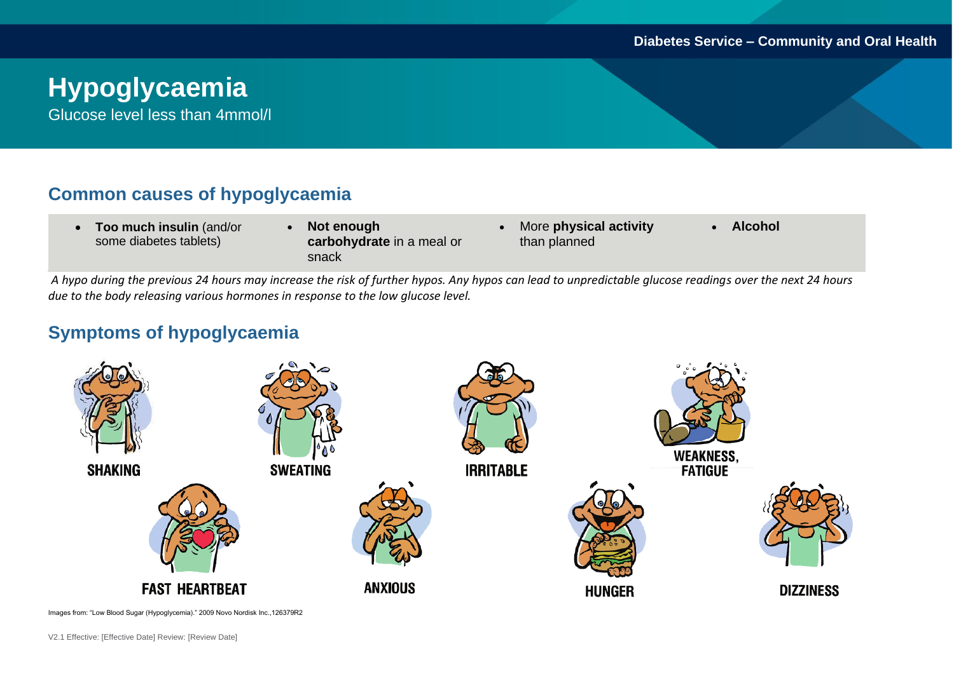# **Hypoglycaemia**

Glucose level less than 4mmol/l

## **Common causes of hypoglycaemia**

- **Too much insulin** (and/or some diabetes tablets)
- **Not enough carbohydrate** in a meal or snack
- More **physical activity**  than planned
- **Alcohol**

*A hypo during the previous 24 hours may increase the risk of further hypos. Any hypos can lead to unpredictable glucose readings over the next 24 hours due to the body releasing various hormones in response to the low glucose level.* 

## **Symptoms of hypoglycaemia**



Images from: "Low Blood Sugar (Hypoglycemia)." 2009 Novo Nordisk Inc.,126379R2